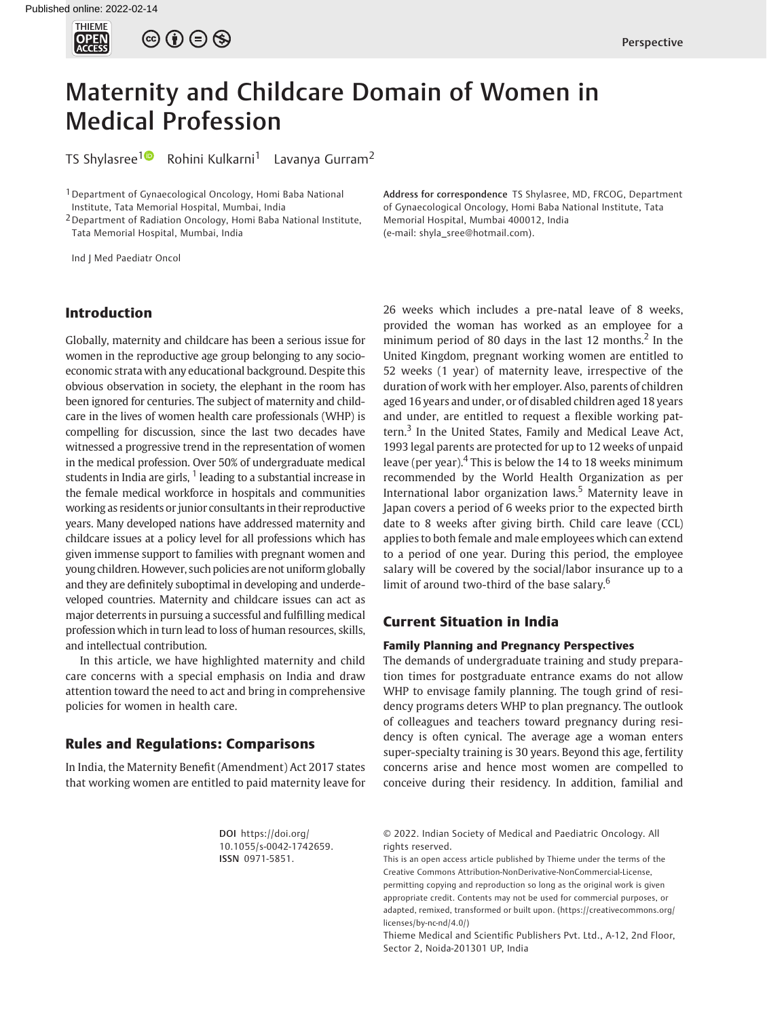

# Maternity and Childcare Domain of Women in Medical Profession

TS Shylasree<sup>[1](https://orcid.org/0000-0001-8683-0686)</sup> Rohini Kulkarni<sup>1</sup> Lavanya Gurram<sup>2</sup>

<sup>1</sup> Department of Gynaecological Oncology, Homi Baba National Institute, Tata Memorial Hospital, Mumbai, India

2Department of Radiation Oncology, Homi Baba National Institute, Tata Memorial Hospital, Mumbai, India

Ind J Med Paediatr Oncol

Address for correspondence TS Shylasree, MD, FRCOG, Department of Gynaecological Oncology, Homi Baba National Institute, Tata Memorial Hospital, Mumbai 400012, India (e-mail: [shyla\\_sree@hotmail.com\)](mailto:shyla_sree@hotmail.com).

26 weeks which includes a pre-natal leave of 8 weeks,

## Introduction

Globally, maternity and childcare has been a serious issue for women in the reproductive age group belonging to any socioeconomic strata with any educational background. Despite this obvious observation in society, the elephant in the room has been ignored for centuries. The subject of maternity and childcare in the lives of women health care professionals (WHP) is compelling for discussion, since the last two decades have witnessed a progressive trend in the representation of women in the medical profession. Over 50% of undergraduate medical students in India are girls,  $1$  leading to a substantial increase in the female medical workforce in hospitals and communities working as residents or junior consultants in their reproductive years. Many developed nations have addressed maternity and childcare issues at a policy level for all professions which has given immense support to families with pregnant women and young children. However, such policies are not uniform globally and they are definitely suboptimal in developing and underdeveloped countries. Maternity and childcare issues can act as major deterrents in pursuing a successful and fulfilling medical profession which in turn lead to loss of human resources, skills, and intellectual contribution.

In this article, we have highlighted maternity and child care concerns with a special emphasis on India and draw attention toward the need to act and bring in comprehensive policies for women in health care.

## Rules and Regulations: Comparisons

In India, the Maternity Benefit (Amendment) Act 2017 states that working women are entitled to paid maternity leave for provided the woman has worked as an employee for a minimum period of 80 days in the last 12 months. $2$  In the United Kingdom, pregnant working women are entitled to 52 weeks (1 year) of maternity leave, irrespective of the duration of work with her employer. Also, parents of children aged 16 years and under, or of disabled children aged 18 years and under, are entitled to request a flexible working pattern.<sup>3</sup> In the United States, Family and Medical Leave Act, 1993 legal parents are protected for up to 12 weeks of unpaid leave (per year).<sup>4</sup> This is below the 14 to 18 weeks minimum recommended by the World Health Organization as per International labor organization laws.<sup>5</sup> Maternity leave in Japan covers a period of 6 weeks prior to the expected birth date to 8 weeks after giving birth. Child care leave (CCL) applies to both female and male employees which can extend to a period of one year. During this period, the employee salary will be covered by the social/labor insurance up to a limit of around two-third of the base salary. $6$ 

## Current Situation in India

## Family Planning and Pregnancy Perspectives

The demands of undergraduate training and study preparation times for postgraduate entrance exams do not allow WHP to envisage family planning. The tough grind of residency programs deters WHP to plan pregnancy. The outlook of colleagues and teachers toward pregnancy during residency is often cynical. The average age a woman enters super-specialty training is 30 years. Beyond this age, fertility concerns arise and hence most women are compelled to conceive during their residency. In addition, familial and

DOI [https://doi.org/](https://doi.org/10.1055/s-0042-1742659) [10.1055/s-0042-1742659](https://doi.org/10.1055/s-0042-1742659). ISSN 0971-5851.

© 2022. Indian Society of Medical and Paediatric Oncology. All rights reserved.

This is an open access article published by Thieme under the terms of the Creative Commons Attribution-NonDerivative-NonCommercial-License, permitting copying and reproduction so long as the original work is given appropriate credit. Contents may not be used for commercial purposes, or adapted, remixed, transformed or built upon. (https://creativecommons.org/ licenses/by-nc-nd/4.0/)

Thieme Medical and Scientific Publishers Pvt. Ltd., A-12, 2nd Floor, Sector 2, Noida-201301 UP, India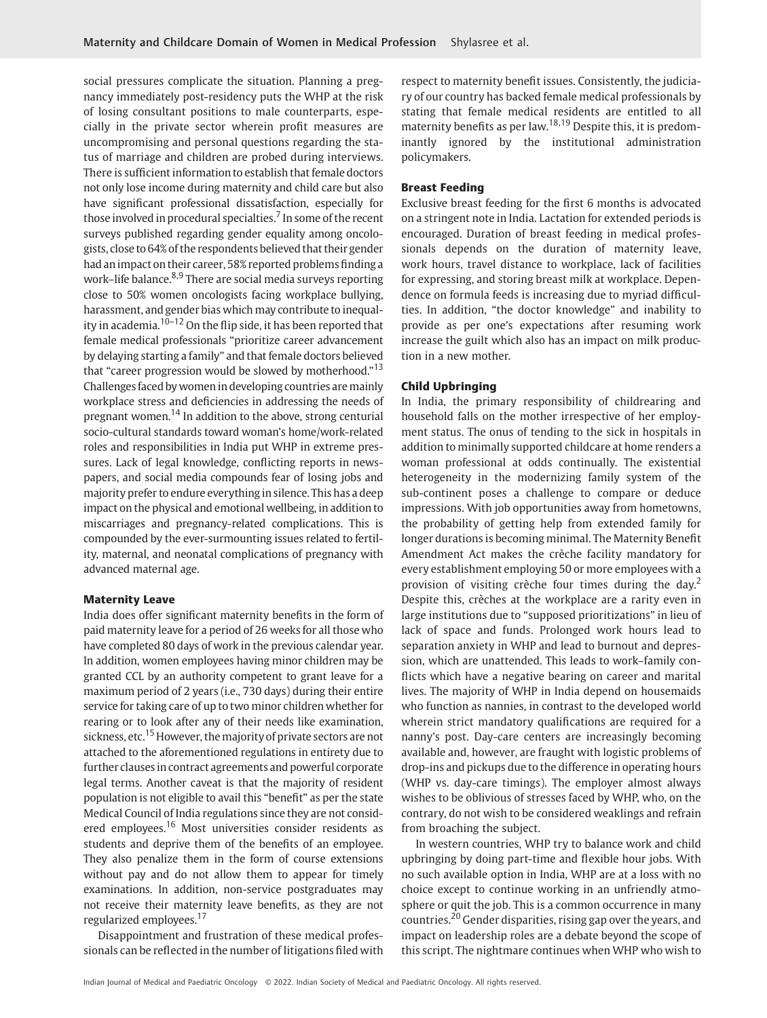social pressures complicate the situation. Planning a pregnancy immediately post-residency puts the WHP at the risk of losing consultant positions to male counterparts, especially in the private sector wherein profit measures are uncompromising and personal questions regarding the status of marriage and children are probed during interviews. There is sufficient information to establish that female doctors not only lose income during maternity and child care but also have significant professional dissatisfaction, especially for those involved in procedural specialties.<sup>7</sup> In some of the recent surveys published regarding gender equality among oncologists, close to 64% of the respondents believed that their gender had an impact on their career, 58% reported problems finding a work–life balance.<sup>8,9</sup> There are social media surveys reporting close to 50% women oncologists facing workplace bullying, harassment, and gender bias which may contribute to inequality in academia. $10-12$  On the flip side, it has been reported that female medical professionals "prioritize career advancement by delaying starting a family" and that female doctors believed that "career progression would be slowed by motherhood."<sup>13</sup> Challenges faced by women in developing countries aremainly workplace stress and deficiencies in addressing the needs of pregnant women.<sup>14</sup> In addition to the above, strong centurial socio-cultural standards toward woman's home/work-related roles and responsibilities in India put WHP in extreme pressures. Lack of legal knowledge, conflicting reports in newspapers, and social media compounds fear of losing jobs and majority prefer to endure everything in silence. This has a deep impact on the physical and emotional wellbeing, in addition to miscarriages and pregnancy-related complications. This is compounded by the ever-surmounting issues related to fertility, maternal, and neonatal complications of pregnancy with advanced maternal age.

## Maternity Leave

India does offer significant maternity benefits in the form of paid maternity leave for a period of 26 weeks for all those who have completed 80 days of work in the previous calendar year. In addition, women employees having minor children may be granted CCL by an authority competent to grant leave for a maximum period of 2 years (i.e., 730 days) during their entire service for taking care of up to two minor children whether for rearing or to look after any of their needs like examination, sickness, etc.<sup>15</sup> However, the majority of private sectors are not attached to the aforementioned regulations in entirety due to further clausesin contract agreements and powerful corporate legal terms. Another caveat is that the majority of resident population is not eligible to avail this "benefit" as per the state Medical Council of India regulations since they are not considered employees.<sup>16</sup> Most universities consider residents as students and deprive them of the benefits of an employee. They also penalize them in the form of course extensions without pay and do not allow them to appear for timely examinations. In addition, non-service postgraduates may not receive their maternity leave benefits, as they are not regularized employees.<sup>17</sup>

Disappointment and frustration of these medical professionals can be reflected in the number of litigations filed with respect to maternity benefit issues. Consistently, the judiciary of our country has backed female medical professionals by stating that female medical residents are entitled to all maternity benefits as per law.<sup>18,19</sup> Despite this, it is predominantly ignored by the institutional administration policymakers.

#### Breast Feeding

Exclusive breast feeding for the first 6 months is advocated on a stringent note in India. Lactation for extended periods is encouraged. Duration of breast feeding in medical professionals depends on the duration of maternity leave, work hours, travel distance to workplace, lack of facilities for expressing, and storing breast milk at workplace. Dependence on formula feeds is increasing due to myriad difficulties. In addition, "the doctor knowledge" and inability to provide as per one's expectations after resuming work increase the guilt which also has an impact on milk production in a new mother.

#### Child Upbringing

In India, the primary responsibility of childrearing and household falls on the mother irrespective of her employment status. The onus of tending to the sick in hospitals in addition to minimally supported childcare at home renders a woman professional at odds continually. The existential heterogeneity in the modernizing family system of the sub-continent poses a challenge to compare or deduce impressions. With job opportunities away from hometowns, the probability of getting help from extended family for longer durations is becoming minimal. The Maternity Benefit Amendment Act makes the crèche facility mandatory for every establishment employing 50 or more employees with a provision of visiting crèche four times during the day.<sup>2</sup> Despite this, crèches at the workplace are a rarity even in large institutions due to "supposed prioritizations" in lieu of lack of space and funds. Prolonged work hours lead to separation anxiety in WHP and lead to burnout and depression, which are unattended. This leads to work–family conflicts which have a negative bearing on career and marital lives. The majority of WHP in India depend on housemaids who function as nannies, in contrast to the developed world wherein strict mandatory qualifications are required for a nanny's post. Day-care centers are increasingly becoming available and, however, are fraught with logistic problems of drop-ins and pickups due to the difference in operating hours (WHP vs. day-care timings). The employer almost always wishes to be oblivious of stresses faced by WHP, who, on the contrary, do not wish to be considered weaklings and refrain from broaching the subject.

In western countries, WHP try to balance work and child upbringing by doing part-time and flexible hour jobs. With no such available option in India, WHP are at a loss with no choice except to continue working in an unfriendly atmosphere or quit the job. This is a common occurrence in many countries.<sup>20</sup> Gender disparities, rising gap over the years, and impact on leadership roles are a debate beyond the scope of this script. The nightmare continues when WHP who wish to